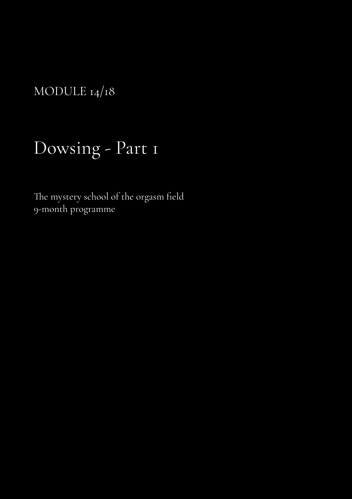MODULE 14/18

## Dowsing - Part 1

The mystery school of the orgasm field 9-month programme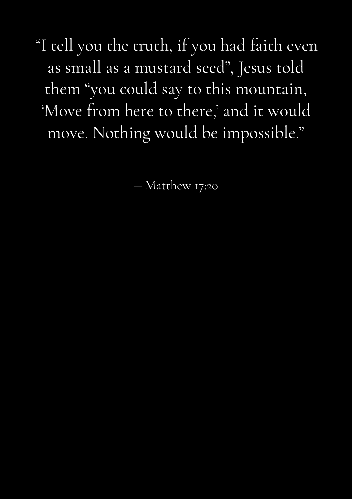"I tell you the truth, if you had faith even as small as a mustard seed", Jesus told them "you could say to this mountain, 'Move from here to there,' and it would move. Nothing would be impossible."

― Matthew 17:20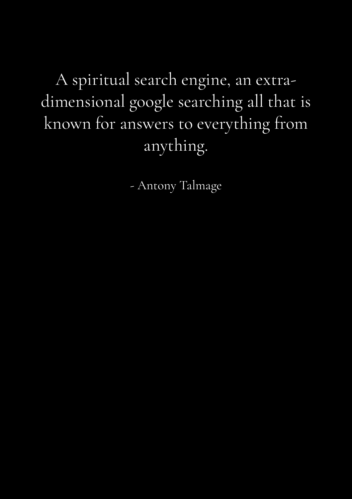A spiritual search engine, an extradimensional google searching all that is known for answers to everything from anything.

- Antony Talmage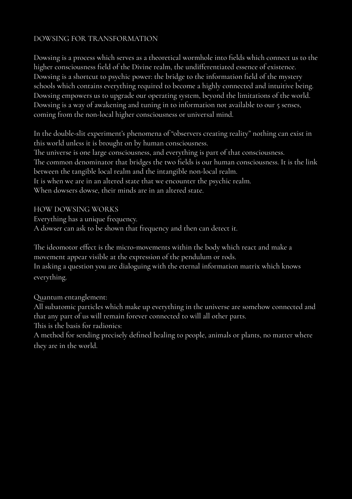## DOWSING FOR TRANSFORMATION

Dowsing is a process which serves as a theoretical wormhole into fields which connect us to the higher consciousness field of the Divine realm, the undifferentiated essence of existence. Dowsing is a shortcut to psychic power: the bridge to the information field of the mystery schools which contains everything required to become a highly connected and intuitive being. Dowsing empowers us to upgrade our operating system, beyond the limitations of the world. Dowsing is a way of awakening and tuning in to information not available to our 5 senses, coming from the non-local higher consciousness or universal mind.

In the double-slit experiment's phenomena of "observers creating reality" nothing can exist in this world unless it is brought on by human consciousness. The universe is one large consciousness, and everything is part of that consciousness.

The common denominator that bridges the two fields is our human consciousness. It is the link between the tangible local realm and the intangible non-local realm.

It is when we are in an altered state that we encounter the psychic realm.

When dowsers dowse, their minds are in an altered state.

HOW DOWSING WORKS

Everything has a unique frequency.

A dowser can ask to be shown that frequency and then can detect it.

The ideomotor effect is the micro-movements within the body which react and make a movement appear visible at the expression of the pendulum or rods. In asking a question you are dialoguing with the eternal information matrix which knows everything.

Quantum entanglement:

All subatomic particles which make up everything in the universe are somehow connected and that any part of us will remain forever connected to will all other parts.

This is the basis for radionics:

A method for sending precisely defined healing to people, animals or plants, no matter where they are in the world.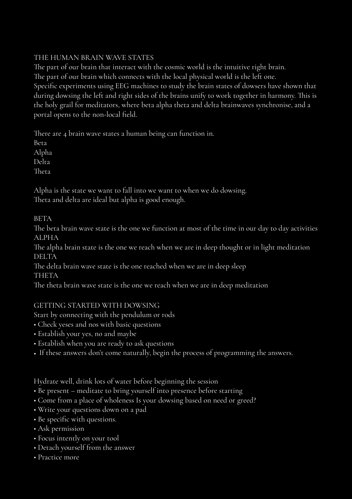## THE HUMAN BRAIN WAVE STATES

The part of our brain that interact with the cosmic world is the intuitive right brain. The part of our brain which connects with the local physical world is the left one. Specific experiments using EEG machines to study the brain states of dowsers have shown that during dowsing the left and right sides of the brains unify to work together in harmony. This is the holy grail for meditators, where beta alpha theta and delta brainwaves synchronise, and a portal opens to the non-local field.

There are 4 brain wave states a human being can function in.

Beta

Alpha

Delta

Theta

Alpha is the state we want to fall into we want to when we do dowsing. Theta and delta are ideal but alpha is good enough.

BETA

The beta brain wave state is the one we function at most of the time in our day to day activities ALPHA

The alpha brain state is the one we reach when we are in deep thought or in light meditation DELTA

The delta brain wave state is the one reached when we are in deep sleep THETA

The theta brain wave state is the one we reach when we are in deep meditation

## GETTING STARTED WITH DOWSING

Start by connecting with the pendulum or rods

- Check yeses and nos with basic questions
- Establish your yes, no and maybe
- Establish when you are ready to ask questions
- If these answers don't come naturally, begin the process of programming the answers.

Hydrate well, drink lots of water before beginning the session

- Be present meditate to bring yourself into presence before starting
- Come from a place of wholeness Is your dowsing based on need or greed?
- Write your questions down on a pad
- Be specific with questions.
- Ask permission
- Focus intently on your tool
- Detach yourself from the answer
- Practice more